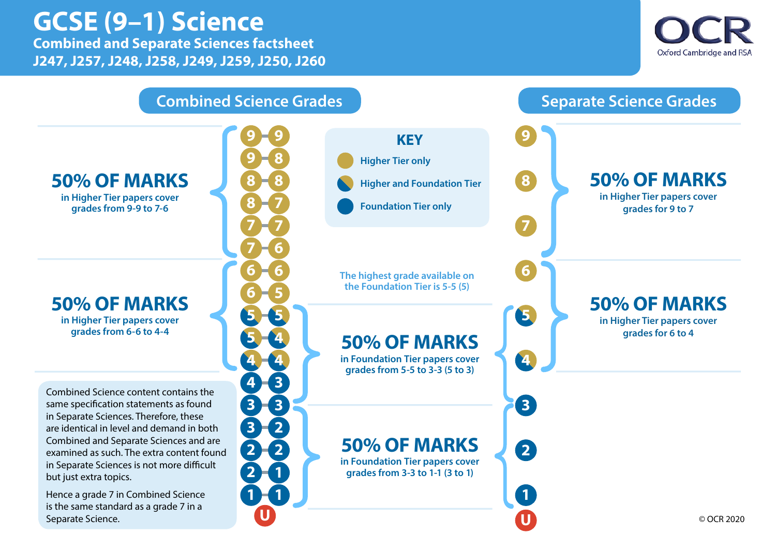# **GCSE (9–1) Science**

**Combined and Separate Sciences factsheet J247, J257, J248, J258, J249, J259, J250, J260**



**Combined Science Grades 9 8 7 6 5 4 3 2 1 50% OF MARKS in Higher Tier papers cover grades for 9 to 7 50% OF MARKS in Higher Tier papers cover grades for 6 to 4 9 9 9 8 8 8 8 7 7 7 7 6 6 6 6 5 5 5 5 4 4 4 4 3 3 3 3 2 2 2 2 1 1 1 U The highest grade available on the Foundation Tier is 5-5 (5) 50% OF MARKS in Foundation Tier papers cover grades from 5-5 to 3-3 (5 to 3) 50% OF MARKS in Foundation Tier papers cover grades from 3-3 to 1-1 (3 to 1) KEY Higher Tier only Higher and Foundation Tier Foundation Tier only U**

## **50% OF MARKS**

**in Higher Tier papers cover grades from 9-9 to 7-6**

**50% OF MARKS**

**in Higher Tier papers cover grades from 6-6 to 4-4**

Combined Science content contains the same specification statements as found in Separate Sciences. Therefore, these are identical in level and demand in both Combined and Separate Sciences and are examined as such. The extra content found in Separate Sciences is not more difficult but just extra topics.

Hence a grade 7 in Combined Science is the same standard as a grade 7 in a Separate Science. © © OCR 2020